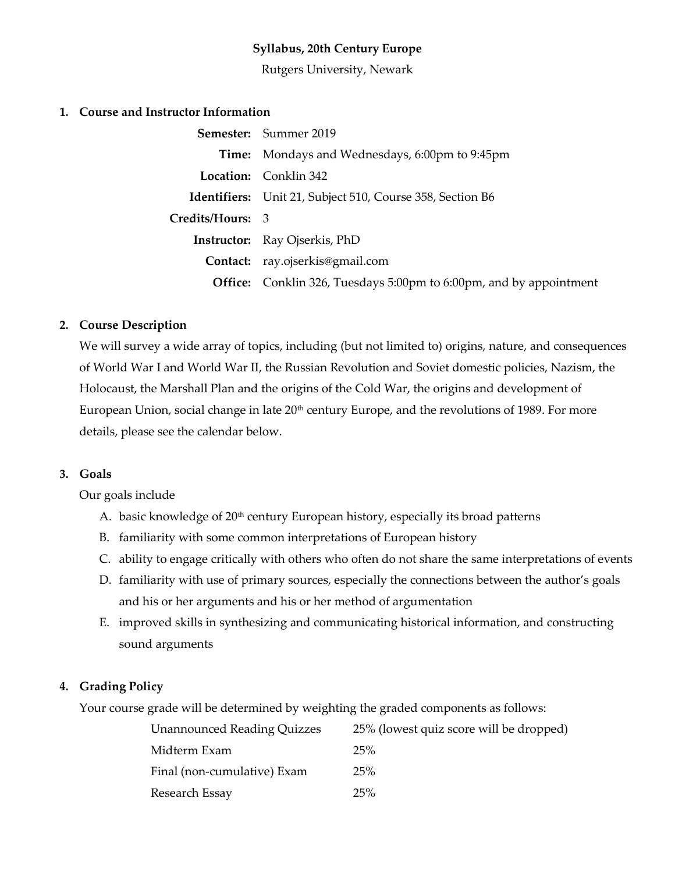# **Syllabus, 20th Century Europe**

Rutgers University, Newark

### **1. Course and Instructor Information**

|                  | <b>Semester:</b> Summer 2019                                              |  |
|------------------|---------------------------------------------------------------------------|--|
|                  | <b>Time:</b> Mondays and Wednesdays, 6:00pm to 9:45pm                     |  |
|                  | <b>Location:</b> Conklin 342                                              |  |
|                  | <b>Identifiers:</b> Unit 21, Subject 510, Course 358, Section B6          |  |
| Credits/Hours: 3 |                                                                           |  |
|                  | <b>Instructor:</b> Ray Ojserkis, PhD                                      |  |
|                  | Contact: ray.ojserkis@gmail.com                                           |  |
|                  | <b>Office:</b> Conklin 326, Tuesdays 5:00pm to 6:00pm, and by appointment |  |

#### **2. Course Description**

We will survey a wide array of topics, including (but not limited to) origins, nature, and consequences of World War I and World War II, the Russian Revolution and Soviet domestic policies, Nazism, the Holocaust, the Marshall Plan and the origins of the Cold War, the origins and development of European Union, social change in late  $20<sup>th</sup>$  century Europe, and the revolutions of 1989. For more details, please see the calendar below.

#### **3. Goals**

Our goals include

- A. basic knowledge of  $20<sup>th</sup>$  century European history, especially its broad patterns
- B. familiarity with some common interpretations of European history
- C. ability to engage critically with others who often do not share the same interpretations of events
- D. familiarity with use of primary sources, especially the connections between the author's goals and his or her arguments and his or her method of argumentation
- E. improved skills in synthesizing and communicating historical information, and constructing sound arguments

## **4. Grading Policy**

Your course grade will be determined by weighting the graded components as follows:

| <b>Unannounced Reading Quizzes</b> | 25% (lowest quiz score will be dropped) |  |
|------------------------------------|-----------------------------------------|--|
| Midterm Exam                       | 25%                                     |  |
| Final (non-cumulative) Exam        | 25%                                     |  |
| Research Essay                     | 25%                                     |  |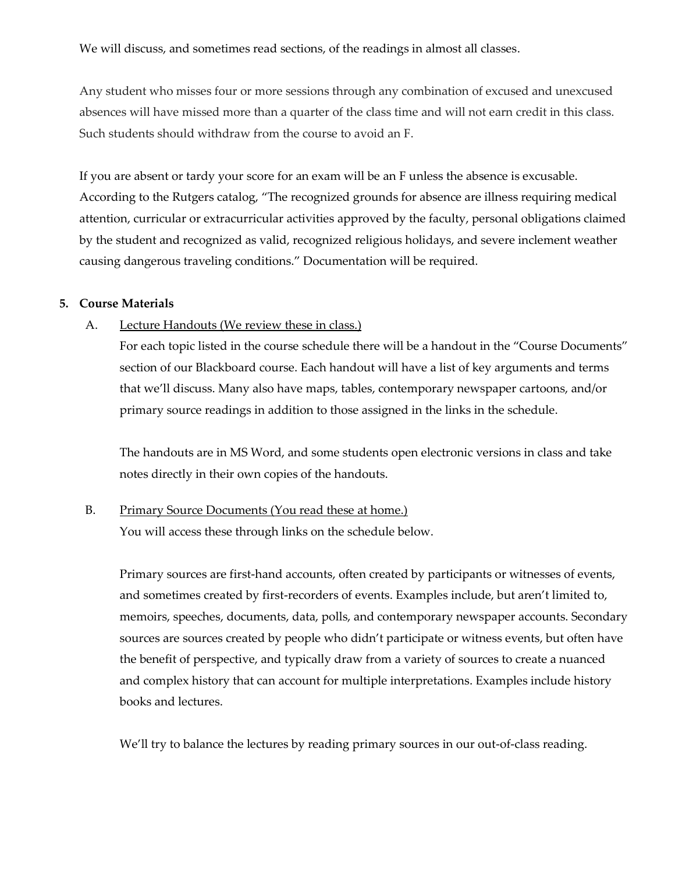We will discuss, and sometimes read sections, of the readings in almost all classes.

Any student who misses four or more sessions through any combination of excused and unexcused absences will have missed more than a quarter of the class time and will not earn credit in this class. Such students should withdraw from the course to avoid an F.

If you are absent or tardy your score for an exam will be an F unless the absence is excusable. According to the Rutgers catalog, "The recognized grounds for absence are illness requiring medical attention, curricular or extracurricular activities approved by the faculty, personal obligations claimed by the student and recognized as valid, recognized religious holidays, and severe inclement weather causing dangerous traveling conditions." Documentation will be required.

#### **5. Course Materials**

#### A. Lecture Handouts (We review these in class.)

For each topic listed in the course schedule there will be a handout in the "Course Documents" section of our Blackboard course. Each handout will have a list of key arguments and terms that we'll discuss. Many also have maps, tables, contemporary newspaper cartoons, and/or primary source readings in addition to those assigned in the links in the schedule.

The handouts are in MS Word, and some students open electronic versions in class and take notes directly in their own copies of the handouts.

## B. Primary Source Documents (You read these at home.)

You will access these through links on the schedule below.

Primary sources are first-hand accounts, often created by participants or witnesses of events, and sometimes created by first-recorders of events. Examples include, but aren't limited to, memoirs, speeches, documents, data, polls, and contemporary newspaper accounts. Secondary sources are sources created by people who didn't participate or witness events, but often have the benefit of perspective, and typically draw from a variety of sources to create a nuanced and complex history that can account for multiple interpretations. Examples include history books and lectures.

We'll try to balance the lectures by reading primary sources in our out-of-class reading.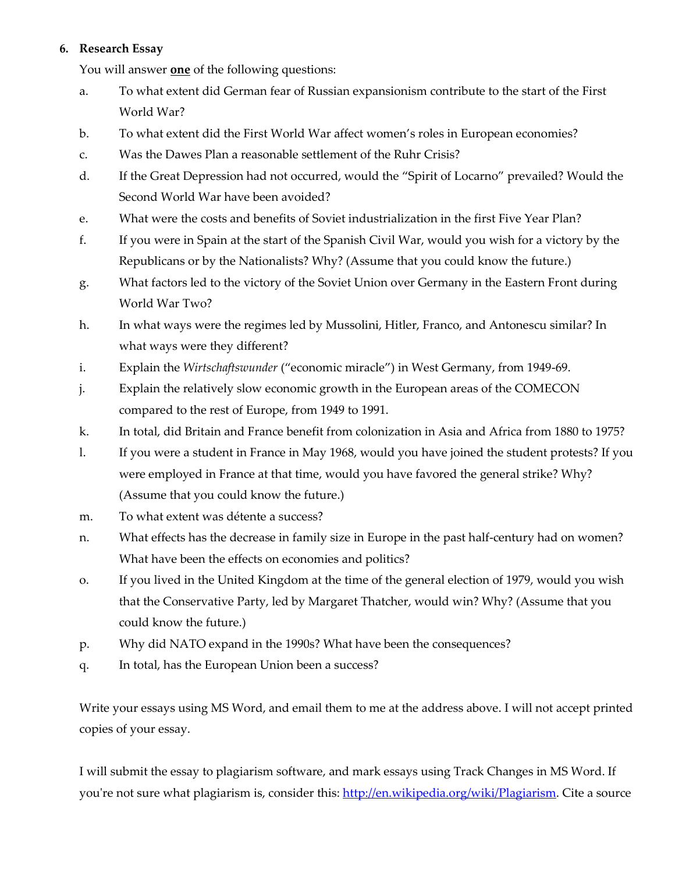# **6. Research Essay**

You will answer **one** of the following questions:

- a. To what extent did German fear of Russian expansionism contribute to the start of the First World War?
- b. To what extent did the First World War affect women's roles in European economies?
- c. Was the Dawes Plan a reasonable settlement of the Ruhr Crisis?
- d. If the Great Depression had not occurred, would the "Spirit of Locarno" prevailed? Would the Second World War have been avoided?
- e. What were the costs and benefits of Soviet industrialization in the first Five Year Plan?
- f. If you were in Spain at the start of the Spanish Civil War, would you wish for a victory by the Republicans or by the Nationalists? Why? (Assume that you could know the future.)
- g. What factors led to the victory of the Soviet Union over Germany in the Eastern Front during World War Two?
- h. In what ways were the regimes led by Mussolini, Hitler, Franco, and Antonescu similar? In what ways were they different?
- i. Explain the *Wirtschaftswunder* ("economic miracle") in West Germany, from 1949-69.
- j. Explain the relatively slow economic growth in the European areas of the COMECON compared to the rest of Europe, from 1949 to 1991.
- k. In total, did Britain and France benefit from colonization in Asia and Africa from 1880 to 1975?
- l. If you were a student in France in May 1968, would you have joined the student protests? If you were employed in France at that time, would you have favored the general strike? Why? (Assume that you could know the future.)
- m. To what extent was détente a success?
- n. What effects has the decrease in family size in Europe in the past half-century had on women? What have been the effects on economies and politics?
- o. If you lived in the United Kingdom at the time of the general election of 1979, would you wish that the Conservative Party, led by Margaret Thatcher, would win? Why? (Assume that you could know the future.)
- p. Why did NATO expand in the 1990s? What have been the consequences?
- q. In total, has the European Union been a success?

Write your essays using MS Word, and email them to me at the address above. I will not accept printed copies of your essay.

I will submit the essay to plagiarism software, and mark essays using Track Changes in MS Word. If you're not sure what plagiarism is, consider this: [http://en.wikipedia.org/wiki/Plagiarism.](http://en.wikipedia.org/wiki/Plagiarism) Cite a source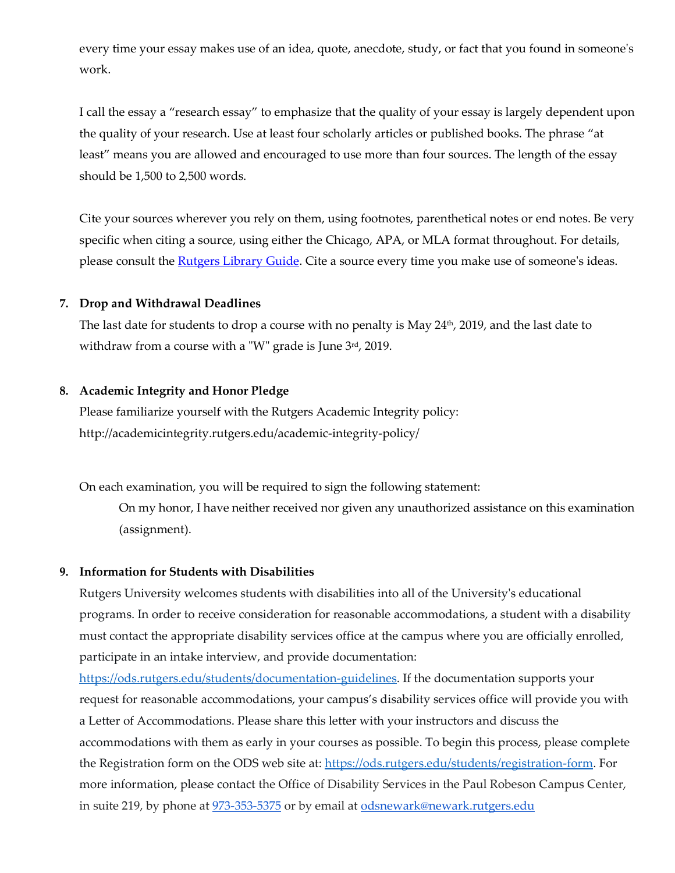every time your essay makes use of an idea, quote, anecdote, study, or fact that you found in someone's work.

I call the essay a "research essay" to emphasize that the quality of your essay is largely dependent upon the quality of your research. Use at least four scholarly articles or published books. The phrase "at least" means you are allowed and encouraged to use more than four sources. The length of the essay should be 1,500 to 2,500 words.

Cite your sources wherever you rely on them, using footnotes, parenthetical notes or end notes. Be very specific when citing a source, using either the Chicago, APA, or MLA format throughout. For details, please consult the [Rutgers Library Guide.](http://libguides.rutgers.edu/content.php?pid=255004&sid=2108610) Cite a source every time you make use of someone's ideas.

#### **7. Drop and Withdrawal Deadlines**

The last date for students to drop a course with no penalty is May 24<sup>th</sup>, 2019, and the last date to withdraw from a course with a "W" grade is June  $3<sup>rd</sup>$ , 2019.

#### **8. Academic Integrity and Honor Pledge**

Please familiarize yourself with the Rutgers Academic Integrity policy: http://academicintegrity.rutgers.edu/academic-integrity-policy/

On each examination, you will be required to sign the following statement:

On my honor, I have neither received nor given any unauthorized assistance on this examination (assignment).

### **9. Information for Students with Disabilities**

Rutgers University welcomes students with disabilities into all of the University's educational programs. In order to receive consideration for reasonable accommodations, a student with a disability must contact the appropriate disability services office at the campus where you are officially enrolled, participate in an intake interview, and provide documentation:

[https://ods.rutgers.edu/students/documentation-guidelines.](https://ods.rutgers.edu/students/documentation-guidelines) If the documentation supports your request for reasonable accommodations, your campus's disability services office will provide you with a Letter of Accommodations. Please share this letter with your instructors and discuss the accommodations with them as early in your courses as possible. To begin this process, please complete the Registration form on the ODS web site at[: https://ods.rutgers.edu/students/registration-form.](https://ods.rutgers.edu/students/registration-form) For more information, please contact the Office of Disability Services in the Paul Robeson Campus Center, in suite 219, by phone at  $973-353-5375$  or by email at [odsnewark@newark.rutgers.edu](mailto:odsnewark@newark.rutgers.edu)